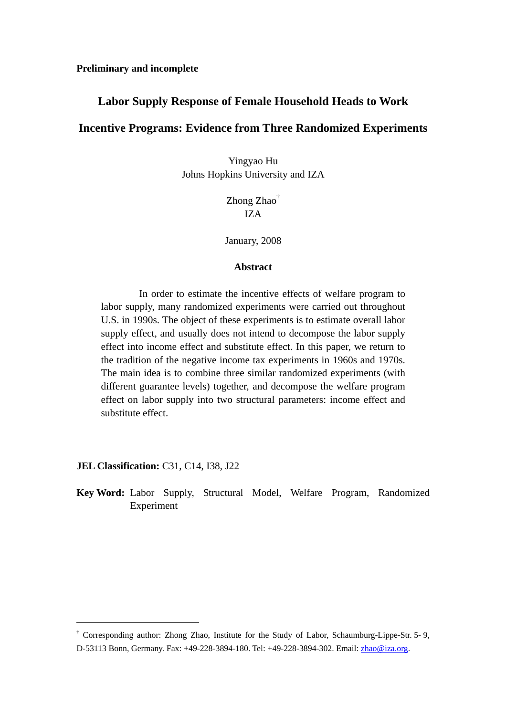# **Labor Supply Response of Female Household Heads to Work**

# **Incentive Programs: Evidence from Three Randomized Experiments**

Yingyao Hu Johns Hopkins University and IZA

> Zhong Zhao† IZA

January, 2008

#### **Abstract**

 In order to estimate the incentive effects of welfare program to labor supply, many randomized experiments were carried out throughout U.S. in 1990s. The object of these experiments is to estimate overall labor supply effect, and usually does not intend to decompose the labor supply effect into income effect and substitute effect. In this paper, we return to the tradition of the negative income tax experiments in 1960s and 1970s. The main idea is to combine three similar randomized experiments (with different guarantee levels) together, and decompose the welfare program effect on labor supply into two structural parameters: income effect and substitute effect.

**JEL Classification:** C31, C14, I38, J22

 $\overline{a}$ 

**Key Word:** Labor Supply, Structural Model, Welfare Program, Randomized Experiment

<sup>†</sup> Corresponding author: Zhong Zhao, Institute for the Study of Labor, Schaumburg-Lippe-Str. 5- 9, D-53113 Bonn, Germany. Fax: +49-228-3894-180. Tel: +49-228-3894-302. Email: zhao@iza.org.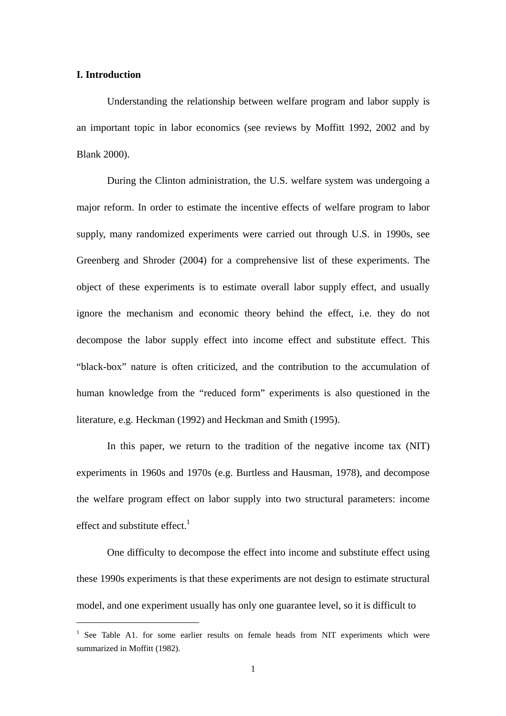#### **I. Introduction**

 $\overline{a}$ 

Understanding the relationship between welfare program and labor supply is an important topic in labor economics (see reviews by Moffitt 1992, 2002 and by Blank 2000).

During the Clinton administration, the U.S. welfare system was undergoing a major reform. In order to estimate the incentive effects of welfare program to labor supply, many randomized experiments were carried out through U.S. in 1990s, see Greenberg and Shroder (2004) for a comprehensive list of these experiments. The object of these experiments is to estimate overall labor supply effect, and usually ignore the mechanism and economic theory behind the effect, i.e. they do not decompose the labor supply effect into income effect and substitute effect. This "black-box" nature is often criticized, and the contribution to the accumulation of human knowledge from the "reduced form" experiments is also questioned in the literature, e.g. Heckman (1992) and Heckman and Smith (1995).

In this paper, we return to the tradition of the negative income tax (NIT) experiments in 1960s and 1970s (e.g. Burtless and Hausman, 1978), and decompose the welfare program effect on labor supply into two structural parameters: income effect and substitute effect. $<sup>1</sup>$ </sup>

One difficulty to decompose the effect into income and substitute effect using these 1990s experiments is that these experiments are not design to estimate structural model, and one experiment usually has only one guarantee level, so it is difficult to

<sup>&</sup>lt;sup>1</sup> See Table A1. for some earlier results on female heads from NIT experiments which were summarized in Moffitt (1982).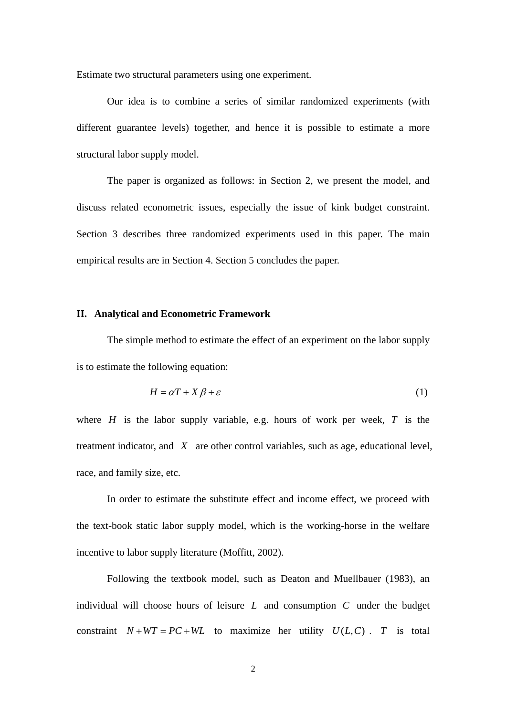Estimate two structural parameters using one experiment.

Our idea is to combine a series of similar randomized experiments (with different guarantee levels) together, and hence it is possible to estimate a more structural labor supply model.

The paper is organized as follows: in Section 2, we present the model, and discuss related econometric issues, especially the issue of kink budget constraint. Section 3 describes three randomized experiments used in this paper. The main empirical results are in Section 4. Section 5 concludes the paper.

### **II. Analytical and Econometric Framework**

The simple method to estimate the effect of an experiment on the labor supply is to estimate the following equation:

$$
H = \alpha T + X\beta + \varepsilon \tag{1}
$$

where  $H$  is the labor supply variable, e.g. hours of work per week,  $T$  is the treatment indicator, and *X* are other control variables, such as age, educational level, race, and family size, etc.

In order to estimate the substitute effect and income effect, we proceed with the text-book static labor supply model, which is the working-horse in the welfare incentive to labor supply literature (Moffitt, 2002).

Following the textbook model, such as Deaton and Muellbauer (1983), an individual will choose hours of leisure *L* and consumption *C* under the budget constraint  $N + WT = PC + WL$  to maximize her utility  $U(L, C)$ . *T* is total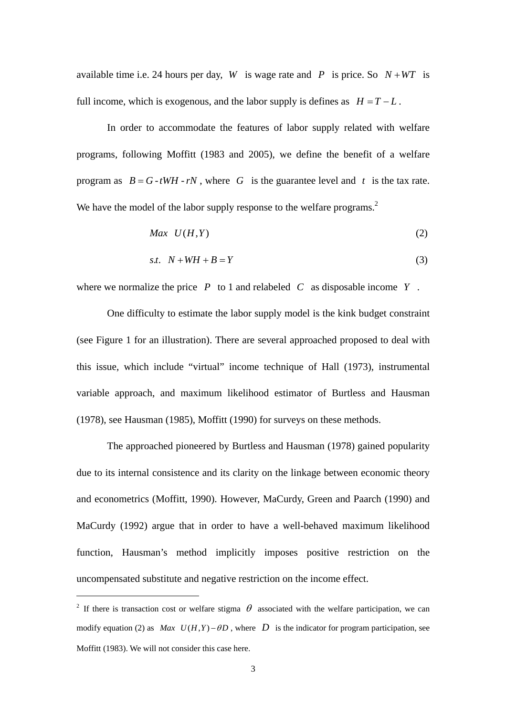available time i.e. 24 hours per day, *W* is wage rate and *P* is price. So  $N+WT$  is full income, which is exogenous, and the labor supply is defines as  $H = T - L$ .

In order to accommodate the features of labor supply related with welfare programs, following Moffitt (1983 and 2005), we define the benefit of a welfare program as  $B = G - tWH - rN$ , where *G* is the guarantee level and *t* is the tax rate. We have the model of the labor supply response to the welfare programs.<sup>2</sup>

$$
Max \quad U(H,Y) \tag{2}
$$

$$
s.t. \quad N + WH + B = Y \tag{3}
$$

where we normalize the price *P* to 1 and relabeled *C* as disposable income *Y* .

One difficulty to estimate the labor supply model is the kink budget constraint (see Figure 1 for an illustration). There are several approached proposed to deal with this issue, which include "virtual" income technique of Hall (1973), instrumental variable approach, and maximum likelihood estimator of Burtless and Hausman (1978), see Hausman (1985), Moffitt (1990) for surveys on these methods.

The approached pioneered by Burtless and Hausman (1978) gained popularity due to its internal consistence and its clarity on the linkage between economic theory and econometrics (Moffitt, 1990). However, MaCurdy, Green and Paarch (1990) and MaCurdy (1992) argue that in order to have a well-behaved maximum likelihood function, Hausman's method implicitly imposes positive restriction on the uncompensated substitute and negative restriction on the income effect.

 $\overline{a}$ 

<sup>&</sup>lt;sup>2</sup> If there is transaction cost or welfare stigma  $\theta$  associated with the welfare participation, we can modify equation (2) as *Max*  $U(H,Y) - \theta D$ , where *D* is the indicator for program participation, see Moffitt (1983). We will not consider this case here.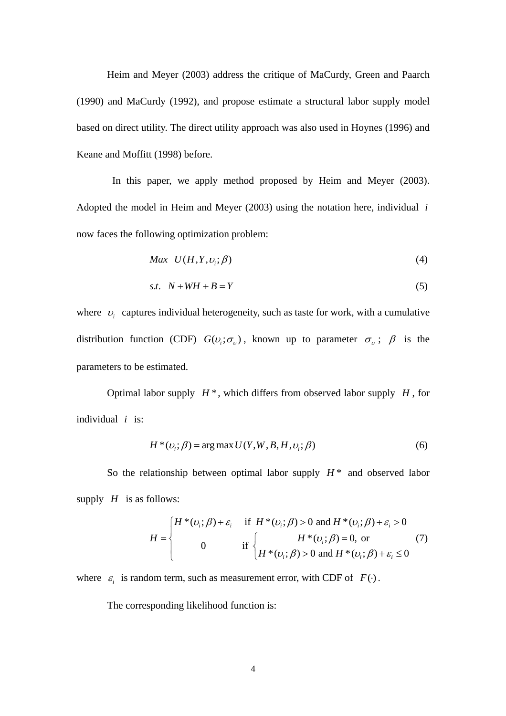Heim and Meyer (2003) address the critique of MaCurdy, Green and Paarch (1990) and MaCurdy (1992), and propose estimate a structural labor supply model based on direct utility. The direct utility approach was also used in Hoynes (1996) and Keane and Moffitt (1998) before.

 In this paper, we apply method proposed by Heim and Meyer (2003). Adopted the model in Heim and Meyer (2003) using the notation here, individual *i* now faces the following optimization problem:

$$
Max \quad U(H, Y, \nu_i; \beta) \tag{4}
$$

$$
s.t. \quad N + WH + B = Y \tag{5}
$$

where  $v_i$  captures individual heterogeneity, such as taste for work, with a cumulative distribution function (CDF)  $G(v_i; \sigma_v)$ , known up to parameter  $\sigma_v$ ;  $\beta$  is the parameters to be estimated.

Optimal labor supply  $H^*$ , which differs from observed labor supply  $H$ , for individual *i* is:

$$
H^*(v_i; \beta) = \arg \max U(Y, W, B, H, v_i; \beta)
$$
\n<sup>(6)</sup>

So the relationship between optimal labor supply  $H^*$  and observed labor supply  $H$  is as follows:

$$
H = \begin{cases} H^*(\nu_i; \beta) + \varepsilon_i & \text{if } H^*(\nu_i; \beta) > 0 \text{ and } H^*(\nu_i; \beta) + \varepsilon_i > 0 \\ 0 & \text{if } \begin{cases} H^*(\nu_i; \beta) = 0, \text{ or } \\ H^*(\nu_i; \beta) > 0 \text{ and } H^*(\nu_i; \beta) + \varepsilon_i \le 0 \end{cases} \end{cases}
$$
(7)

where  $\varepsilon_i$  is random term, such as measurement error, with CDF of  $F(\cdot)$ .

The corresponding likelihood function is: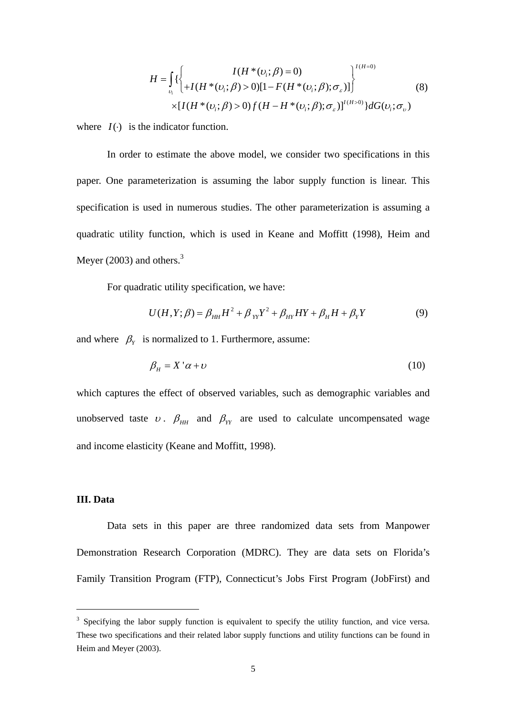$$
H = \int_{\nu_i} \left\{ \left\{ H^*(\nu_i; \beta) = 0 \right\} \right\}^{I(H=0)} \times [I(H^*(\nu_i; \beta) > 0)] \left[ 1 - F(H^*(\nu_i; \beta); \sigma_{\varepsilon}) \right] \right\}^{I(H=0)} \tag{8}
$$
\n
$$
\times [I(H^*(\nu_i; \beta) > 0) f(H - H^*(\nu_i; \beta); \sigma_{\varepsilon})]^{I(H>0)} \right\} dG(\nu_i; \sigma_{\nu})
$$

where  $I(\cdot)$  is the indicator function.

In order to estimate the above model, we consider two specifications in this paper. One parameterization is assuming the labor supply function is linear. This specification is used in numerous studies. The other parameterization is assuming a quadratic utility function, which is used in Keane and Moffitt (1998), Heim and Meyer (2003) and others. $3$ 

For quadratic utility specification, we have:

$$
U(H, Y; \beta) = \beta_{HH} H^2 + \beta_{YY} Y^2 + \beta_{HY} HY + \beta_H H + \beta_Y Y \tag{9}
$$

and where  $\beta_Y$  is normalized to 1. Furthermore, assume:

$$
\beta_H = X' \alpha + \nu \tag{10}
$$

which captures the effect of observed variables, such as demographic variables and unobserved taste  $v$ .  $\beta_{HH}$  and  $\beta_{YY}$  are used to calculate uncompensated wage and income elasticity (Keane and Moffitt, 1998).

## **III. Data**

 $\overline{a}$ 

Data sets in this paper are three randomized data sets from Manpower Demonstration Research Corporation (MDRC). They are data sets on Florida's Family Transition Program (FTP), Connecticut's Jobs First Program (JobFirst) and

 $3$  Specifying the labor supply function is equivalent to specify the utility function, and vice versa. These two specifications and their related labor supply functions and utility functions can be found in Heim and Meyer (2003).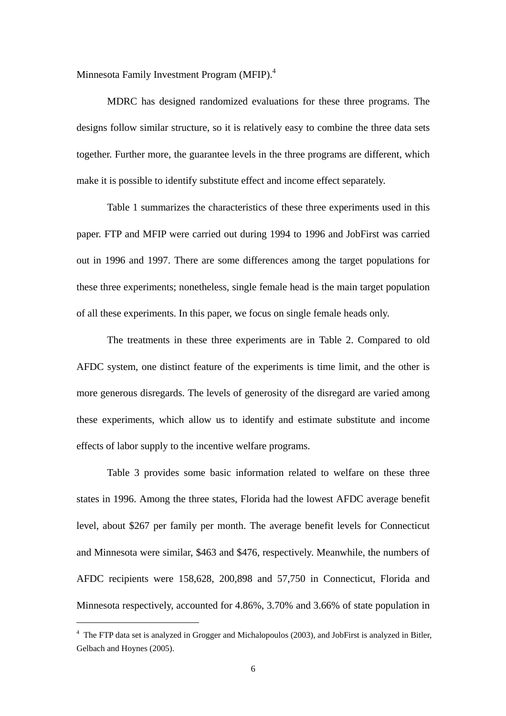Minnesota Family Investment Program (MFIP).<sup>4</sup>

MDRC has designed randomized evaluations for these three programs. The designs follow similar structure, so it is relatively easy to combine the three data sets together. Further more, the guarantee levels in the three programs are different, which make it is possible to identify substitute effect and income effect separately.

Table 1 summarizes the characteristics of these three experiments used in this paper. FTP and MFIP were carried out during 1994 to 1996 and JobFirst was carried out in 1996 and 1997. There are some differences among the target populations for these three experiments; nonetheless, single female head is the main target population of all these experiments. In this paper, we focus on single female heads only.

The treatments in these three experiments are in Table 2. Compared to old AFDC system, one distinct feature of the experiments is time limit, and the other is more generous disregards. The levels of generosity of the disregard are varied among these experiments, which allow us to identify and estimate substitute and income effects of labor supply to the incentive welfare programs.

Table 3 provides some basic information related to welfare on these three states in 1996. Among the three states, Florida had the lowest AFDC average benefit level, about \$267 per family per month. The average benefit levels for Connecticut and Minnesota were similar, \$463 and \$476, respectively. Meanwhile, the numbers of AFDC recipients were 158,628, 200,898 and 57,750 in Connecticut, Florida and Minnesota respectively, accounted for 4.86%, 3.70% and 3.66% of state population in

 $\overline{a}$ 

<sup>&</sup>lt;sup>4</sup> The FTP data set is analyzed in Grogger and Michalopoulos (2003), and JobFirst is analyzed in Bitler, Gelbach and Hoynes (2005).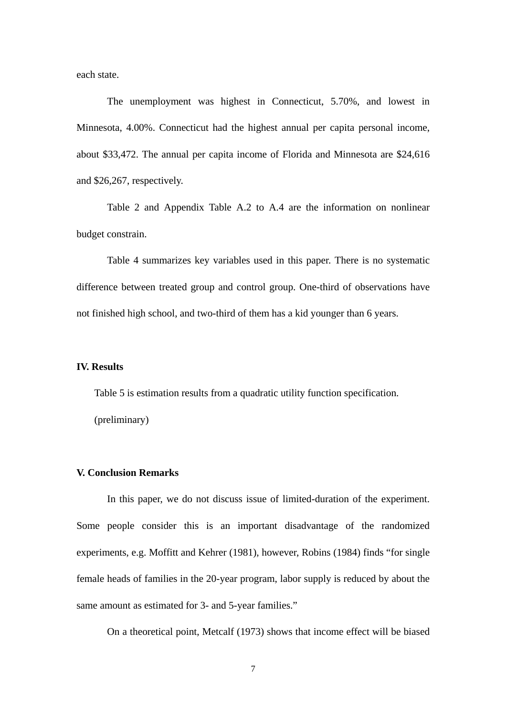each state.

The unemployment was highest in Connecticut, 5.70%, and lowest in Minnesota, 4.00%. Connecticut had the highest annual per capita personal income, about \$33,472. The annual per capita income of Florida and Minnesota are \$24,616 and \$26,267, respectively.

Table 2 and Appendix Table A.2 to A.4 are the information on nonlinear budget constrain.

Table 4 summarizes key variables used in this paper. There is no systematic difference between treated group and control group. One-third of observations have not finished high school, and two-third of them has a kid younger than 6 years.

## **IV. Results**

 Table 5 is estimation results from a quadratic utility function specification. (preliminary)

### **V. Conclusion Remarks**

In this paper, we do not discuss issue of limited-duration of the experiment. Some people consider this is an important disadvantage of the randomized experiments, e.g. Moffitt and Kehrer (1981), however, Robins (1984) finds "for single female heads of families in the 20-year program, labor supply is reduced by about the same amount as estimated for 3- and 5-year families."

On a theoretical point, Metcalf (1973) shows that income effect will be biased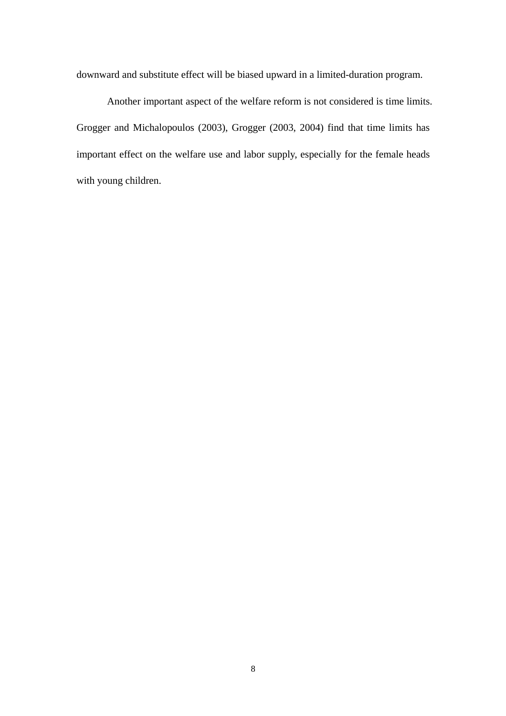downward and substitute effect will be biased upward in a limited-duration program.

Another important aspect of the welfare reform is not considered is time limits. Grogger and Michalopoulos (2003), Grogger (2003, 2004) find that time limits has important effect on the welfare use and labor supply, especially for the female heads with young children.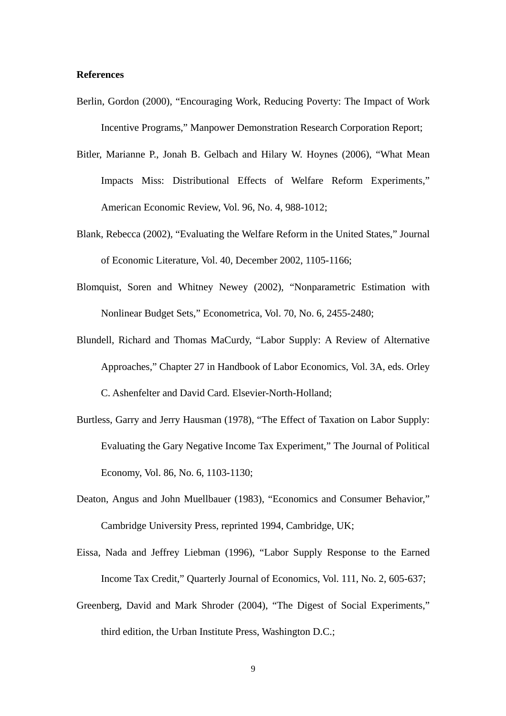### **References**

- Berlin, Gordon (2000), "Encouraging Work, Reducing Poverty: The Impact of Work Incentive Programs," Manpower Demonstration Research Corporation Report;
- Bitler, Marianne P., Jonah B. Gelbach and Hilary W. Hoynes (2006), "What Mean Impacts Miss: Distributional Effects of Welfare Reform Experiments," American Economic Review, Vol. 96, No. 4, 988-1012;
- Blank, Rebecca (2002), "Evaluating the Welfare Reform in the United States," Journal of Economic Literature, Vol. 40, December 2002, 1105-1166;
- Blomquist, Soren and Whitney Newey (2002), "Nonparametric Estimation with Nonlinear Budget Sets," Econometrica, Vol. 70, No. 6, 2455-2480;
- Blundell, Richard and Thomas MaCurdy, "Labor Supply: A Review of Alternative Approaches," Chapter 27 in Handbook of Labor Economics, Vol. 3A, eds. Orley C. Ashenfelter and David Card. Elsevier-North-Holland;
- Burtless, Garry and Jerry Hausman (1978), "The Effect of Taxation on Labor Supply: Evaluating the Gary Negative Income Tax Experiment," The Journal of Political Economy, Vol. 86, No. 6, 1103-1130;
- Deaton, Angus and John Muellbauer (1983), "Economics and Consumer Behavior," Cambridge University Press, reprinted 1994, Cambridge, UK;
- Eissa, Nada and Jeffrey Liebman (1996), "Labor Supply Response to the Earned Income Tax Credit," Quarterly Journal of Economics, Vol. 111, No. 2, 605-637;
- Greenberg, David and Mark Shroder (2004), "The Digest of Social Experiments," third edition, the Urban Institute Press, Washington D.C.;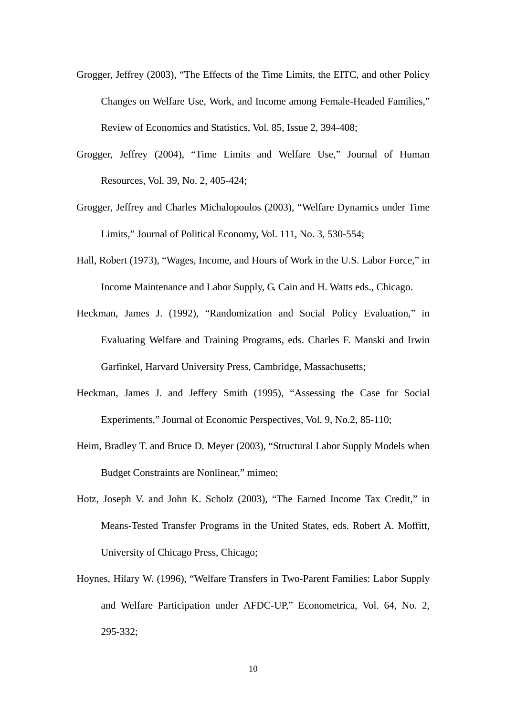- Grogger, Jeffrey (2003), "The Effects of the Time Limits, the EITC, and other Policy Changes on Welfare Use, Work, and Income among Female-Headed Families," Review of Economics and Statistics, Vol. 85, Issue 2, 394-408;
- Grogger, Jeffrey (2004), "Time Limits and Welfare Use," Journal of Human Resources, Vol. 39, No. 2, 405-424;
- Grogger, Jeffrey and Charles Michalopoulos (2003), "Welfare Dynamics under Time Limits," Journal of Political Economy, Vol. 111, No. 3, 530-554;
- Hall, Robert (1973), "Wages, Income, and Hours of Work in the U.S. Labor Force," in Income Maintenance and Labor Supply, G. Cain and H. Watts eds., Chicago.
- Heckman, James J. (1992), "Randomization and Social Policy Evaluation," in Evaluating Welfare and Training Programs, eds. Charles F. Manski and Irwin Garfinkel, Harvard University Press, Cambridge, Massachusetts;
- Heckman, James J. and Jeffery Smith (1995), "Assessing the Case for Social Experiments," Journal of Economic Perspectives, Vol. 9, No.2, 85-110;
- Heim, Bradley T. and Bruce D. Meyer (2003), "Structural Labor Supply Models when Budget Constraints are Nonlinear," mimeo;
- Hotz, Joseph V. and John K. Scholz (2003), "The Earned Income Tax Credit," in Means-Tested Transfer Programs in the United States, eds. Robert A. Moffitt, University of Chicago Press, Chicago;
- Hoynes, Hilary W. (1996), "Welfare Transfers in Two-Parent Families: Labor Supply and Welfare Participation under AFDC-UP," Econometrica, Vol. 64, No. 2, 295-332;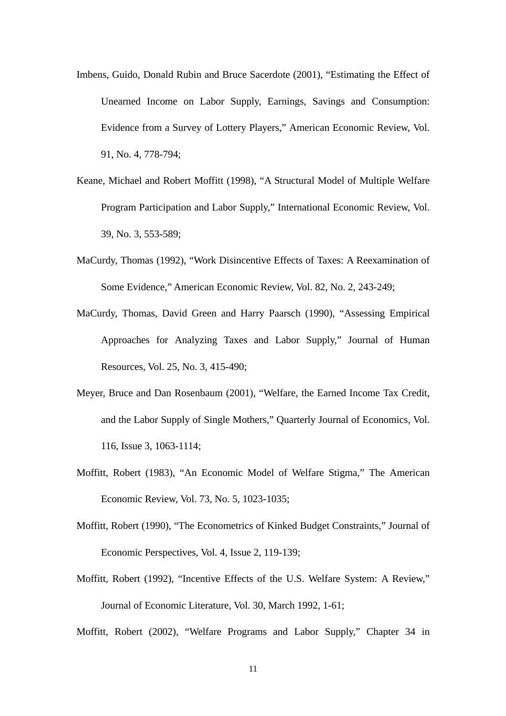- Imbens, Guido, Donald Rubin and Bruce Sacerdote (2001), "Estimating the Effect of Unearned Income on Labor Supply, Earnings, Savings and Consumption: Evidence from a Survey of Lottery Players," American Economic Review, Vol. 91, No. 4, 778-794;
- Keane, Michael and Robert Moffitt (1998), "A Structural Model of Multiple Welfare Program Participation and Labor Supply," International Economic Review, Vol. 39, No. 3, 553-589;
- MaCurdy, Thomas (1992), "Work Disincentive Effects of Taxes: A Reexamination of Some Evidence," American Economic Review, Vol. 82, No. 2, 243-249;
- MaCurdy, Thomas, David Green and Harry Paarsch (1990), "Assessing Empirical Approaches for Analyzing Taxes and Labor Supply," Journal of Human Resources, Vol. 25, No. 3, 415-490;
- Meyer, Bruce and Dan Rosenbaum (2001), "Welfare, the Earned Income Tax Credit, and the Labor Supply of Single Mothers," Quarterly Journal of Economics, Vol. 116, Issue 3, 1063-1114;
- Moffitt, Robert (1983), "An Economic Model of Welfare Stigma," The American Economic Review, Vol. 73, No. 5, 1023-1035;
- Moffitt, Robert (1990), "The Econometrics of Kinked Budget Constraints," Journal of Economic Perspectives, Vol. 4, Issue 2, 119-139;
- Moffitt, Robert (1992), "Incentive Effects of the U.S. Welfare System: A Review," Journal of Economic Literature, Vol. 30, March 1992, 1-61;

Moffitt, Robert (2002), "Welfare Programs and Labor Supply," Chapter 34 in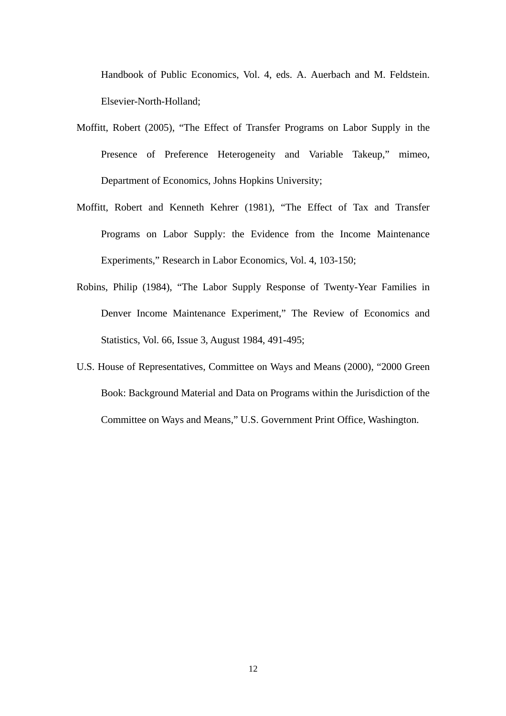Handbook of Public Economics, Vol. 4, eds. A. Auerbach and M. Feldstein. Elsevier-North-Holland;

- Moffitt, Robert (2005), "The Effect of Transfer Programs on Labor Supply in the Presence of Preference Heterogeneity and Variable Takeup," mimeo, Department of Economics, Johns Hopkins University;
- Moffitt, Robert and Kenneth Kehrer (1981), "The Effect of Tax and Transfer Programs on Labor Supply: the Evidence from the Income Maintenance Experiments," Research in Labor Economics, Vol. 4, 103-150;
- Robins, Philip (1984), "The Labor Supply Response of Twenty-Year Families in Denver Income Maintenance Experiment," The Review of Economics and Statistics, Vol. 66, Issue 3, August 1984, 491-495;
- U.S. House of Representatives, Committee on Ways and Means (2000), "2000 Green Book: Background Material and Data on Programs within the Jurisdiction of the Committee on Ways and Means," U.S. Government Print Office, Washington.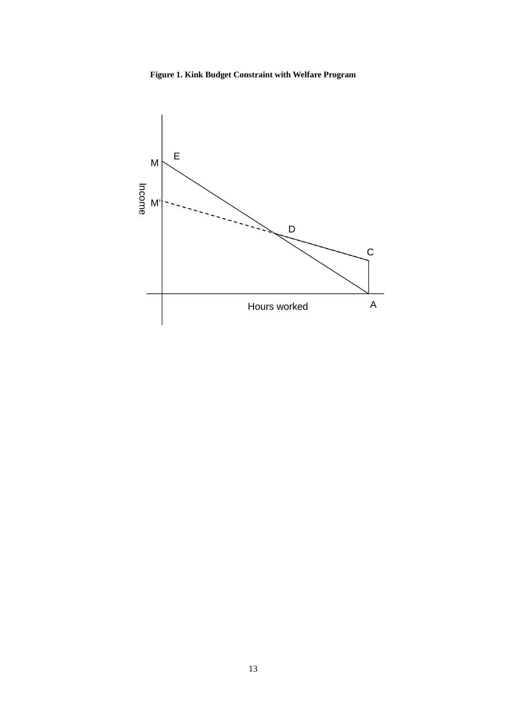

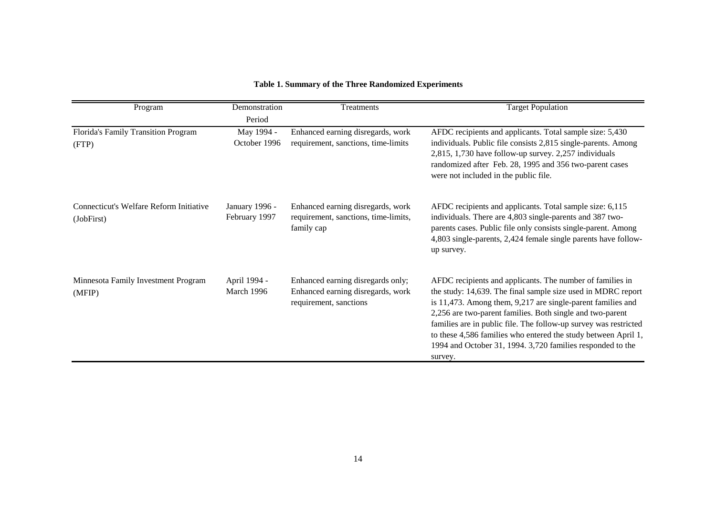| Program                                               | Demonstration                   | Treatments                                                                                       | <b>Target Population</b>                                                                                                                                                                                                                                                                                                                                                                                                                                             |
|-------------------------------------------------------|---------------------------------|--------------------------------------------------------------------------------------------------|----------------------------------------------------------------------------------------------------------------------------------------------------------------------------------------------------------------------------------------------------------------------------------------------------------------------------------------------------------------------------------------------------------------------------------------------------------------------|
|                                                       | Period                          |                                                                                                  |                                                                                                                                                                                                                                                                                                                                                                                                                                                                      |
| Florida's Family Transition Program<br>(FTP)          | May 1994 -<br>October 1996      | Enhanced earning disregards, work<br>requirement, sanctions, time-limits                         | AFDC recipients and applicants. Total sample size: 5,430<br>individuals. Public file consists 2,815 single-parents. Among<br>2,815, 1,730 have follow-up survey. 2,257 individuals<br>randomized after Feb. 28, 1995 and 356 two-parent cases<br>were not included in the public file.                                                                                                                                                                               |
| Connecticut's Welfare Reform Initiative<br>(JobFirst) | January 1996 -<br>February 1997 | Enhanced earning disregards, work<br>requirement, sanctions, time-limits,<br>family cap          | AFDC recipients and applicants. Total sample size: 6,115<br>individuals. There are 4,803 single-parents and 387 two-<br>parents cases. Public file only consists single-parent. Among<br>4,803 single-parents, 2,424 female single parents have follow-<br>up survey.                                                                                                                                                                                                |
| Minnesota Family Investment Program<br>(MFIP)         | April 1994 -<br>March 1996      | Enhanced earning disregards only;<br>Enhanced earning disregards, work<br>requirement, sanctions | AFDC recipients and applicants. The number of families in<br>the study: 14,639. The final sample size used in MDRC report<br>is 11,473. Among them, 9,217 are single-parent families and<br>2,256 are two-parent families. Both single and two-parent<br>families are in public file. The follow-up survey was restricted<br>to these 4,586 families who entered the study between April 1,<br>1994 and October 31, 1994. 3,720 families responded to the<br>survey. |

### **Table 1. Summary of the Three Randomized Experiments**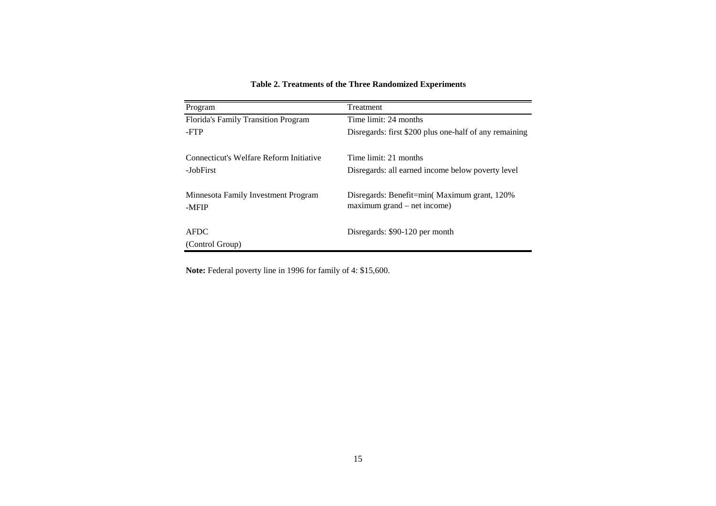| Program                                    | Treatment                                              |
|--------------------------------------------|--------------------------------------------------------|
| <b>Florida's Family Transition Program</b> | Time limit: 24 months                                  |
| -FTP                                       | Disregards: first \$200 plus one-half of any remaining |
|                                            |                                                        |
| Connecticut's Welfare Reform Initiative    | Time limit: 21 months                                  |
| -JobFirst                                  | Disregards: all earned income below poverty level      |
|                                            |                                                        |
| Minnesota Family Investment Program        | Disregards: Benefit=min(Maximum grant, 120%            |
| -MFIP                                      | $maximum grand - net income)$                          |
|                                            |                                                        |
| <b>AFDC</b>                                | Disregards: \$90-120 per month                         |
| (Control Group)                            |                                                        |

#### **Table 2. Treatments of the Three Randomized Experiments**

**Note:** Federal poverty line in 1996 for family of 4: \$15,600.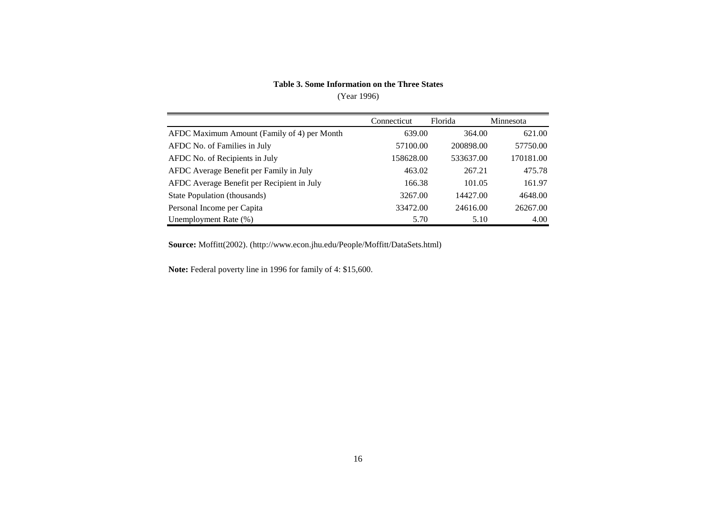#### **Table 3. Some Information on the Three States**

#### (Year 1996)

|                                             | Connecticut | Florida   | Minnesota |
|---------------------------------------------|-------------|-----------|-----------|
| AFDC Maximum Amount (Family of 4) per Month | 639.00      | 364.00    | 621.00    |
| AFDC No. of Families in July                | 57100.00    | 200898.00 | 57750.00  |
| AFDC No. of Recipients in July              | 158628.00   | 533637.00 | 170181.00 |
| AFDC Average Benefit per Family in July     | 463.02      | 267.21    | 475.78    |
| AFDC Average Benefit per Recipient in July  | 166.38      | 101.05    | 161.97    |
| State Population (thousands)                | 3267.00     | 14427.00  | 4648.00   |
| Personal Income per Capita                  | 33472.00    | 24616.00  | 26267.00  |
| Unemployment Rate (%)                       | 5.70        | 5.10      | 4.00      |

**Source:** Moffitt(2002). (http://www.econ.jhu.edu/People/Moffitt/DataSets.html)

**Note:** Federal poverty line in 1996 for family of 4: \$15,600.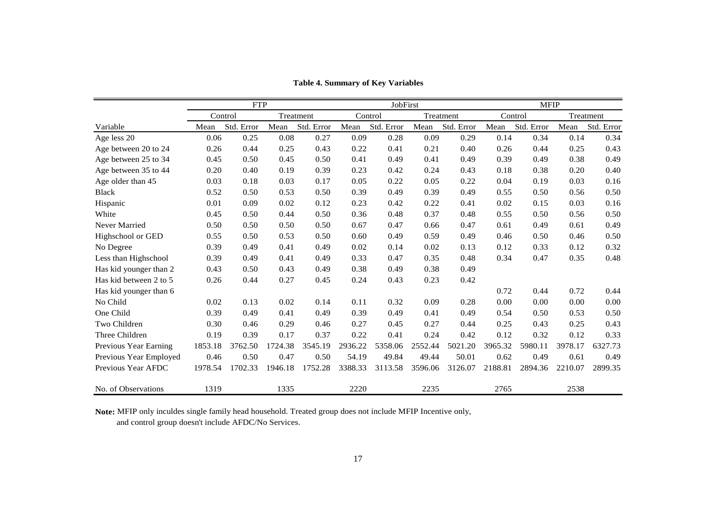|                        | <b>FTP</b> |            | JobFirst |            |         | <b>MFIP</b> |         |            |         |            |         |            |
|------------------------|------------|------------|----------|------------|---------|-------------|---------|------------|---------|------------|---------|------------|
|                        | Control    |            |          | Treatment  |         | Control     |         | Treatment  | Control |            |         | Treatment  |
| Variable               | Mean       | Std. Error | Mean     | Std. Error | Mean    | Std. Error  | Mean    | Std. Error | Mean    | Std. Error | Mean    | Std. Error |
| Age less 20            | 0.06       | 0.25       | 0.08     | 0.27       | 0.09    | 0.28        | 0.09    | 0.29       | 0.14    | 0.34       | 0.14    | 0.34       |
| Age between 20 to 24   | 0.26       | 0.44       | 0.25     | 0.43       | 0.22    | 0.41        | 0.21    | 0.40       | 0.26    | 0.44       | 0.25    | 0.43       |
| Age between 25 to 34   | 0.45       | 0.50       | 0.45     | 0.50       | 0.41    | 0.49        | 0.41    | 0.49       | 0.39    | 0.49       | 0.38    | 0.49       |
| Age between 35 to 44   | 0.20       | 0.40       | 0.19     | 0.39       | 0.23    | 0.42        | 0.24    | 0.43       | 0.18    | 0.38       | 0.20    | 0.40       |
| Age older than 45      | 0.03       | 0.18       | 0.03     | 0.17       | 0.05    | 0.22        | 0.05    | 0.22       | 0.04    | 0.19       | 0.03    | 0.16       |
| <b>Black</b>           | 0.52       | 0.50       | 0.53     | 0.50       | 0.39    | 0.49        | 0.39    | 0.49       | 0.55    | 0.50       | 0.56    | 0.50       |
| Hispanic               | 0.01       | 0.09       | 0.02     | 0.12       | 0.23    | 0.42        | 0.22    | 0.41       | 0.02    | 0.15       | 0.03    | 0.16       |
| White                  | 0.45       | 0.50       | 0.44     | 0.50       | 0.36    | 0.48        | 0.37    | 0.48       | 0.55    | 0.50       | 0.56    | 0.50       |
| Never Married          | 0.50       | 0.50       | 0.50     | 0.50       | 0.67    | 0.47        | 0.66    | 0.47       | 0.61    | 0.49       | 0.61    | 0.49       |
| Highschool or GED      | 0.55       | 0.50       | 0.53     | 0.50       | 0.60    | 0.49        | 0.59    | 0.49       | 0.46    | 0.50       | 0.46    | 0.50       |
| No Degree              | 0.39       | 0.49       | 0.41     | 0.49       | 0.02    | 0.14        | 0.02    | 0.13       | 0.12    | 0.33       | 0.12    | 0.32       |
| Less than Highschool   | 0.39       | 0.49       | 0.41     | 0.49       | 0.33    | 0.47        | 0.35    | 0.48       | 0.34    | 0.47       | 0.35    | 0.48       |
| Has kid younger than 2 | 0.43       | 0.50       | 0.43     | 0.49       | 0.38    | 0.49        | 0.38    | 0.49       |         |            |         |            |
| Has kid between 2 to 5 | 0.26       | 0.44       | 0.27     | 0.45       | 0.24    | 0.43        | 0.23    | 0.42       |         |            |         |            |
| Has kid younger than 6 |            |            |          |            |         |             |         |            | 0.72    | 0.44       | 0.72    | 0.44       |
| No Child               | 0.02       | 0.13       | 0.02     | 0.14       | 0.11    | 0.32        | 0.09    | 0.28       | 0.00    | 0.00       | 0.00    | 0.00       |
| One Child              | 0.39       | 0.49       | 0.41     | 0.49       | 0.39    | 0.49        | 0.41    | 0.49       | 0.54    | 0.50       | 0.53    | 0.50       |
| Two Children           | 0.30       | 0.46       | 0.29     | 0.46       | 0.27    | 0.45        | 0.27    | 0.44       | 0.25    | 0.43       | 0.25    | 0.43       |
| Three Children         | 0.19       | 0.39       | 0.17     | 0.37       | 0.22    | 0.41        | 0.24    | 0.42       | 0.12    | 0.32       | 0.12    | 0.33       |
| Previous Year Earning  | 1853.18    | 3762.50    | 1724.38  | 3545.19    | 2936.22 | 5358.06     | 2552.44 | 5021.20    | 3965.32 | 5980.11    | 3978.17 | 6327.73    |
| Previous Year Employed | 0.46       | 0.50       | 0.47     | 0.50       | 54.19   | 49.84       | 49.44   | 50.01      | 0.62    | 0.49       | 0.61    | 0.49       |
| Previous Year AFDC     | 1978.54    | 1702.33    | 1946.18  | 1752.28    | 3388.33 | 3113.58     | 3596.06 | 3126.07    | 2188.81 | 2894.36    | 2210.07 | 2899.35    |
| No. of Observations    | 1319       |            | 1335     |            | 2220    |             | 2235    |            | 2765    |            | 2538    |            |

**Table 4. Summary of Key Variables**

**Note:** MFIP only inculdes single family head household. Treated group does not include MFIP Incentive only,

and control group doesn't include AFDC/No Services.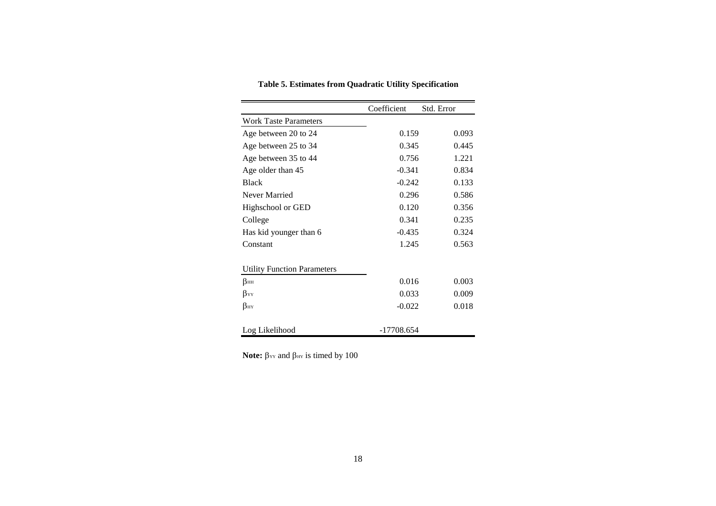|                                    | Coefficient  | Std. Error |
|------------------------------------|--------------|------------|
| <b>Work Taste Parameters</b>       |              |            |
| Age between 20 to 24               | 0.159        | 0.093      |
| Age between 25 to 34               | 0.345        | 0.445      |
| Age between 35 to 44               | 0.756        | 1.221      |
| Age older than 45                  | $-0.341$     | 0.834      |
| <b>Black</b>                       | $-0.242$     | 0.133      |
| Never Married                      | 0.296        | 0.586      |
| Highschool or GED                  | 0.120        | 0.356      |
| College                            | 0.341        | 0.235      |
| Has kid younger than 6             | $-0.435$     | 0.324      |
| Constant                           | 1.245        | 0.563      |
|                                    |              |            |
| <b>Utility Function Parameters</b> |              |            |
| βнн                                | 0.016        | 0.003      |
| βyy                                | 0.033        | 0.009      |
| βнч                                | $-0.022$     | 0.018      |
|                                    |              |            |
| Log Likelihood                     | $-17708.654$ |            |

**Table 5. Estimates from Quadratic Utility Specification**

**Note:**  $β$ <sub>xx</sub> and  $β$ <sub>Hx</sub> is timed by 100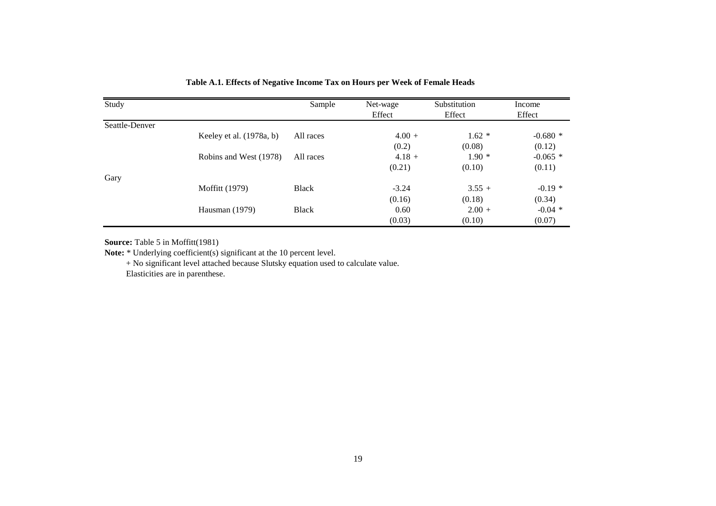| Study          |                            | Sample       | Net-wage | Substitution | Income     |
|----------------|----------------------------|--------------|----------|--------------|------------|
|                |                            |              | Effect   | Effect       | Effect     |
| Seattle-Denver |                            |              |          |              |            |
|                | Keeley et al. $(1978a, b)$ | All races    | $4.00 +$ | $1.62*$      | $-0.680*$  |
|                |                            |              | (0.2)    | (0.08)       | (0.12)     |
|                | Robins and West (1978)     | All races    | $4.18 +$ | $1.90*$      | $-0.065$ * |
|                |                            |              | (0.21)   | (0.10)       | (0.11)     |
| Gary           |                            |              |          |              |            |
|                | <b>Moffitt</b> (1979)      | <b>Black</b> | $-3.24$  | $3.55 +$     | $-0.19*$   |
|                |                            |              | (0.16)   | (0.18)       | (0.34)     |
|                | Hausman $(1979)$           | <b>Black</b> | 0.60     | $2.00 +$     | $-0.04$ *  |
|                |                            |              | (0.03)   | (0.10)       | (0.07)     |

**Table A.1. Effects of Negative Income Tax on Hours per Week of Female Heads**

**Source:** Table 5 in Moffitt(1981)

Note: \* Underlying coefficient(s) significant at the 10 percent level.

+ No significant level attached because Slutsky equation used to calculate value.

Elasticities are in parenthese.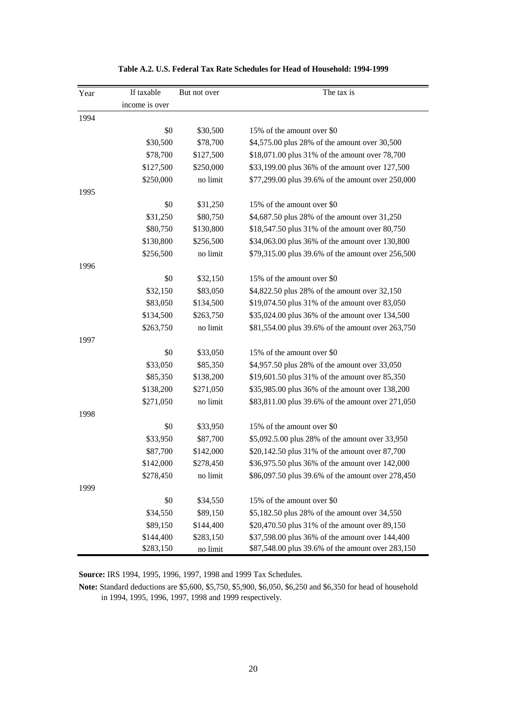| Year | If taxable     | But not over | The tax is                                        |
|------|----------------|--------------|---------------------------------------------------|
|      | income is over |              |                                                   |
| 1994 |                |              |                                                   |
|      | \$0            | \$30,500     | 15% of the amount over \$0                        |
|      | \$30,500       | \$78,700     | \$4,575.00 plus 28% of the amount over 30,500     |
|      | \$78,700       | \$127,500    | \$18,071.00 plus 31% of the amount over 78,700    |
|      | \$127,500      | \$250,000    | \$33,199.00 plus 36% of the amount over 127,500   |
|      | \$250,000      | no limit     | \$77,299.00 plus 39.6% of the amount over 250,000 |
| 1995 |                |              |                                                   |
|      | \$0            | \$31,250     | 15% of the amount over \$0                        |
|      | \$31,250       | \$80,750     | \$4,687.50 plus 28% of the amount over 31,250     |
|      | \$80,750       | \$130,800    | \$18,547.50 plus 31% of the amount over 80,750    |
|      | \$130,800      | \$256,500    | \$34,063.00 plus 36% of the amount over 130,800   |
|      | \$256,500      | no limit     | \$79,315.00 plus 39.6% of the amount over 256,500 |
| 1996 |                |              |                                                   |
|      | \$0            | \$32,150     | 15% of the amount over \$0                        |
|      | \$32,150       | \$83,050     | \$4,822.50 plus 28% of the amount over 32,150     |
|      | \$83,050       | \$134,500    | \$19,074.50 plus 31% of the amount over 83,050    |
|      | \$134,500      | \$263,750    | \$35,024.00 plus 36% of the amount over 134,500   |
|      | \$263,750      | no limit     | \$81,554.00 plus 39.6% of the amount over 263,750 |
| 1997 |                |              |                                                   |
|      | \$0            | \$33,050     | 15% of the amount over \$0                        |
|      | \$33,050       | \$85,350     | \$4,957.50 plus 28% of the amount over 33,050     |
|      | \$85,350       | \$138,200    | \$19,601.50 plus 31% of the amount over 85,350    |
|      | \$138,200      | \$271,050    | \$35,985.00 plus 36% of the amount over 138,200   |
|      | \$271,050      | no limit     | \$83,811.00 plus 39.6% of the amount over 271,050 |
| 1998 |                |              |                                                   |
|      | \$0            | \$33,950     | 15% of the amount over \$0                        |
|      | \$33,950       | \$87,700     | \$5,092.5.00 plus 28% of the amount over 33,950   |
|      | \$87,700       | \$142,000    | \$20,142.50 plus 31% of the amount over 87,700    |
|      | \$142,000      | \$278,450    | \$36,975.50 plus 36% of the amount over 142,000   |
|      | \$278,450      | no limit     | \$86,097.50 plus 39.6% of the amount over 278,450 |
| 1999 |                |              |                                                   |
|      | \$0            | \$34,550     | 15% of the amount over \$0                        |
|      | \$34,550       | \$89,150     | \$5,182.50 plus 28% of the amount over 34,550     |
|      | \$89,150       | \$144,400    | \$20,470.50 plus 31% of the amount over 89,150    |
|      | \$144,400      | \$283,150    | \$37,598.00 plus 36% of the amount over 144,400   |
|      | \$283,150      | no limit     | \$87,548.00 plus 39.6% of the amount over 283,150 |

#### **Table A.2. U.S. Federal Tax Rate Schedules for Head of Household: 1994-1999**

**Source:** IRS 1994, 1995, 1996, 1997, 1998 and 1999 Tax Schedules.

**Note:** Standard deductions are \$5,600, \$5,750, \$5,900, \$6,050, \$6,250 and \$6,350 for head of household in 1994, 1995, 1996, 1997, 1998 and 1999 respectively.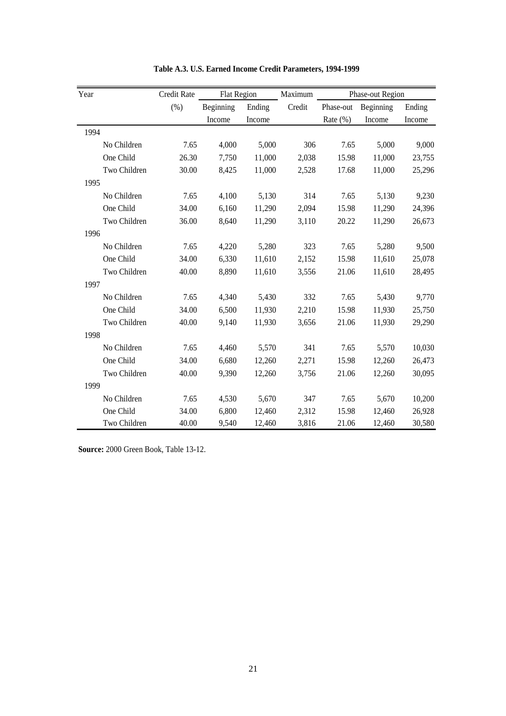| Year         | <b>Credit Rate</b> | <b>Flat Region</b> |        | Maximum |             | Phase-out Region |        |
|--------------|--------------------|--------------------|--------|---------|-------------|------------------|--------|
|              | (%)                | Beginning          | Ending | Credit  | Phase-out   | Beginning        | Ending |
|              |                    | Income             | Income |         | Rate $(\%)$ | Income           | Income |
| 1994         |                    |                    |        |         |             |                  |        |
| No Children  | 7.65               | 4,000              | 5,000  | 306     | 7.65        | 5,000            | 9,000  |
| One Child    | 26.30              | 7,750              | 11,000 | 2,038   | 15.98       | 11,000           | 23,755 |
| Two Children | 30.00              | 8,425              | 11,000 | 2,528   | 17.68       | 11,000           | 25,296 |
| 1995         |                    |                    |        |         |             |                  |        |
| No Children  | 7.65               | 4,100              | 5,130  | 314     | 7.65        | 5,130            | 9,230  |
| One Child    | 34.00              | 6,160              | 11,290 | 2,094   | 15.98       | 11,290           | 24,396 |
| Two Children | 36.00              | 8,640              | 11,290 | 3,110   | 20.22       | 11,290           | 26,673 |
| 1996         |                    |                    |        |         |             |                  |        |
| No Children  | 7.65               | 4,220              | 5,280  | 323     | 7.65        | 5,280            | 9,500  |
| One Child    | 34.00              | 6,330              | 11,610 | 2,152   | 15.98       | 11,610           | 25,078 |
| Two Children | 40.00              | 8,890              | 11,610 | 3,556   | 21.06       | 11,610           | 28,495 |
| 1997         |                    |                    |        |         |             |                  |        |
| No Children  | 7.65               | 4,340              | 5,430  | 332     | 7.65        | 5,430            | 9,770  |
| One Child    | 34.00              | 6,500              | 11,930 | 2,210   | 15.98       | 11,930           | 25,750 |
| Two Children | 40.00              | 9,140              | 11,930 | 3,656   | 21.06       | 11,930           | 29,290 |
| 1998         |                    |                    |        |         |             |                  |        |
| No Children  | 7.65               | 4,460              | 5,570  | 341     | 7.65        | 5,570            | 10,030 |
| One Child    | 34.00              | 6,680              | 12,260 | 2,271   | 15.98       | 12,260           | 26,473 |
| Two Children | 40.00              | 9,390              | 12,260 | 3,756   | 21.06       | 12,260           | 30,095 |
| 1999         |                    |                    |        |         |             |                  |        |
| No Children  | 7.65               | 4,530              | 5,670  | 347     | 7.65        | 5,670            | 10,200 |
| One Child    | 34.00              | 6,800              | 12,460 | 2,312   | 15.98       | 12,460           | 26,928 |
| Two Children | 40.00              | 9,540              | 12,460 | 3,816   | 21.06       | 12,460           | 30,580 |

**Table A.3. U.S. Earned Income Credit Parameters, 1994-1999**

**Source:** 2000 Green Book, Table 13-12.